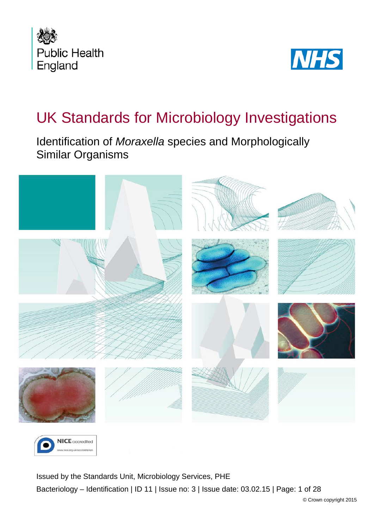



# UK Standards for Microbiology Investigations

Identification of *Moraxella* species and Morphologically Similar Organisms





<span id="page-0-0"></span>Issued by the Standards Unit, Microbiology Services, PHE Bacteriology – Identification | ID 11 | Issue no: 3 | Issue date: 03.02.15 | Page: 1 of 28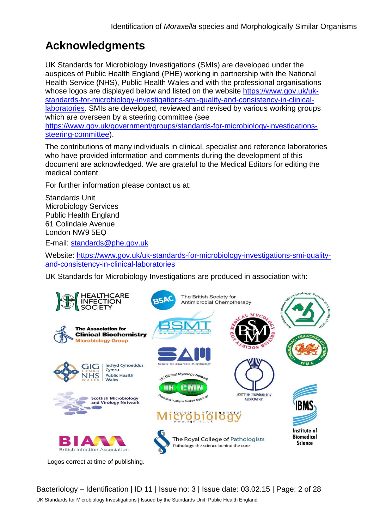## **Acknowledgments**

UK Standards for Microbiology Investigations (SMIs) are developed under the auspices of Public Health England (PHE) working in partnership with the National Health Service (NHS), Public Health Wales and with the professional organisations whose logos are displayed below and listed on the website [https://www.gov.uk/uk](https://www.gov.uk/uk-standards-for-microbiology-investigations-smi-quality-and-consistency-in-clinical-laboratories)[standards-for-microbiology-investigations-smi-quality-and-consistency-in-clinical](https://www.gov.uk/uk-standards-for-microbiology-investigations-smi-quality-and-consistency-in-clinical-laboratories)[laboratories.](https://www.gov.uk/uk-standards-for-microbiology-investigations-smi-quality-and-consistency-in-clinical-laboratories) SMIs are developed, reviewed and revised by various working groups which are overseen by a steering committee (see [https://www.gov.uk/government/groups/standards-for-microbiology-investigations](https://www.gov.uk/government/groups/standards-for-microbiology-investigations-steering-committee)[steering-committee\)](https://www.gov.uk/government/groups/standards-for-microbiology-investigations-steering-committee).

The contributions of many individuals in clinical, specialist and reference laboratories who have provided information and comments during the development of this document are acknowledged. We are grateful to the Medical Editors for editing the medical content.

For further information please contact us at:

Standards Unit Microbiology Services Public Health England 61 Colindale Avenue London NW9 5EQ

E-mail: [standards@phe.gov.uk](mailto:standards@phe.gov.uk)

Website: [https://www.gov.uk/uk-standards-for-microbiology-investigations-smi-quality](https://www.gov.uk/uk-standards-for-microbiology-investigations-smi-quality-and-consistency-in-clinical-laboratories)[and-consistency-in-clinical-laboratories](https://www.gov.uk/uk-standards-for-microbiology-investigations-smi-quality-and-consistency-in-clinical-laboratories)

UK Standards for Microbiology Investigations are produced in association with:



Bacteriology – Identification | ID 11 | Issue no: 3 | Issue date: 03.02.15 | Page: 2 of 28 UK Standards for Microbiology Investigations | Issued by the Standards Unit, Public Health England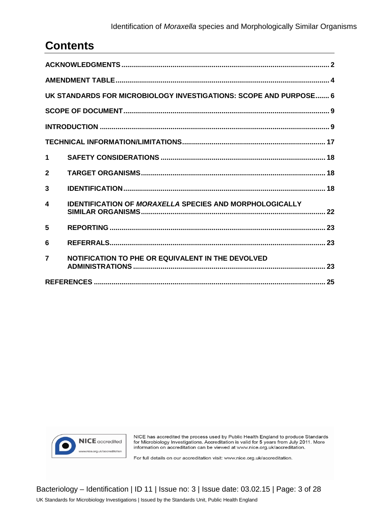#### Identification of *Moraxella* species and Morphologically Similar Organisms

## **Contents**

| UK STANDARDS FOR MICROBIOLOGY INVESTIGATIONS: SCOPE AND PURPOSE 6 |                                                                |  |  |  |
|-------------------------------------------------------------------|----------------------------------------------------------------|--|--|--|
|                                                                   |                                                                |  |  |  |
|                                                                   |                                                                |  |  |  |
|                                                                   |                                                                |  |  |  |
| 1                                                                 |                                                                |  |  |  |
| $\mathbf{2}$                                                      |                                                                |  |  |  |
| 3                                                                 |                                                                |  |  |  |
| 4                                                                 | <b>IDENTIFICATION OF MORAXELLA SPECIES AND MORPHOLOGICALLY</b> |  |  |  |
| 5                                                                 |                                                                |  |  |  |
| 6                                                                 |                                                                |  |  |  |
| $\overline{\mathbf{z}}$                                           | NOTIFICATION TO PHE OR EQUIVALENT IN THE DEVOLVED              |  |  |  |
|                                                                   |                                                                |  |  |  |



NICE has accredited the process used by Public Health England to produce Standards for Microbiology Investigations. Accreditation is valid for 5 years from July 2011. More information on accreditation can be viewed at www.nice.org.uk/accreditation.

For full details on our accreditation visit: www.nice.org.uk/accreditation.

Bacteriology – Identification | ID 11 | Issue no: 3 | Issue date: 03.02.15 | Page: 3 of 28 UK Standards for Microbiology Investigations | Issued by the Standards Unit, Public Health England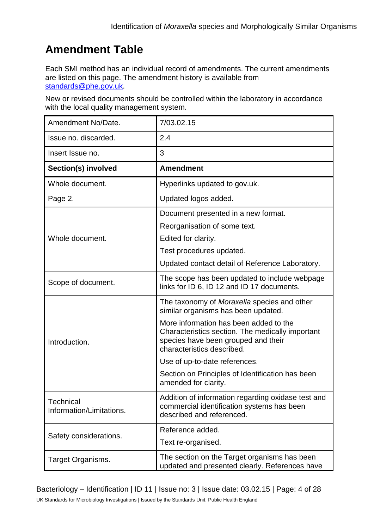## **Amendment Table**

Each SMI method has an individual record of amendments. The current amendments are listed on this page. The amendment history is available from [standards@phe.gov.uk.](mailto:standards@phe.gov.uk)

New or revised documents should be controlled within the laboratory in accordance with the local quality management system.

| Amendment No/Date.                           | 7/03.02.15                                                                                                                                                      |
|----------------------------------------------|-----------------------------------------------------------------------------------------------------------------------------------------------------------------|
| Issue no. discarded.                         | 2.4                                                                                                                                                             |
| Insert Issue no.                             | 3                                                                                                                                                               |
| Section(s) involved                          | <b>Amendment</b>                                                                                                                                                |
| Whole document.                              | Hyperlinks updated to gov.uk.                                                                                                                                   |
| Page 2.                                      | Updated logos added.                                                                                                                                            |
|                                              | Document presented in a new format.                                                                                                                             |
|                                              | Reorganisation of some text.                                                                                                                                    |
| Whole document.                              | Edited for clarity.                                                                                                                                             |
|                                              | Test procedures updated.                                                                                                                                        |
|                                              | Updated contact detail of Reference Laboratory.                                                                                                                 |
| Scope of document.                           | The scope has been updated to include webpage<br>links for ID 6, ID 12 and ID 17 documents.                                                                     |
|                                              | The taxonomy of Moraxella species and other<br>similar organisms has been updated.                                                                              |
| Introduction.                                | More information has been added to the<br>Characteristics section. The medically important<br>species have been grouped and their<br>characteristics described. |
|                                              | Use of up-to-date references.                                                                                                                                   |
|                                              | Section on Principles of Identification has been<br>amended for clarity.                                                                                        |
| <b>Technical</b><br>Information/Limitations. | Addition of information regarding oxidase test and<br>commercial identification systems has been<br>described and referenced.                                   |
|                                              | Reference added.                                                                                                                                                |
| Safety considerations.                       | Text re-organised.                                                                                                                                              |
| Target Organisms.                            | The section on the Target organisms has been<br>updated and presented clearly. References have                                                                  |

Bacteriology – Identification | ID 11 | Issue no: 3 | Issue date: 03.02.15 | Page: 4 of 28 UK Standards for Microbiology Investigations | Issued by the Standards Unit, Public Health England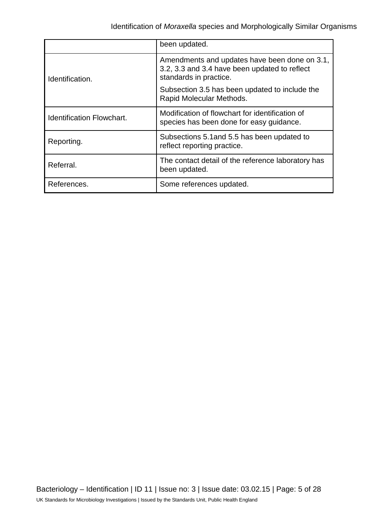|                                  | been updated.                                                                                                            |
|----------------------------------|--------------------------------------------------------------------------------------------------------------------------|
| Identification.                  | Amendments and updates have been done on 3.1,<br>3.2, 3.3 and 3.4 have been updated to reflect<br>standards in practice. |
|                                  | Subsection 3.5 has been updated to include the<br>Rapid Molecular Methods.                                               |
| <b>Identification Flowchart.</b> | Modification of flowchart for identification of<br>species has been done for easy guidance.                              |
| Reporting.                       | Subsections 5.1 and 5.5 has been updated to<br>reflect reporting practice.                                               |
| Referral.                        | The contact detail of the reference laboratory has<br>been updated.                                                      |
| References.                      | Some references updated.                                                                                                 |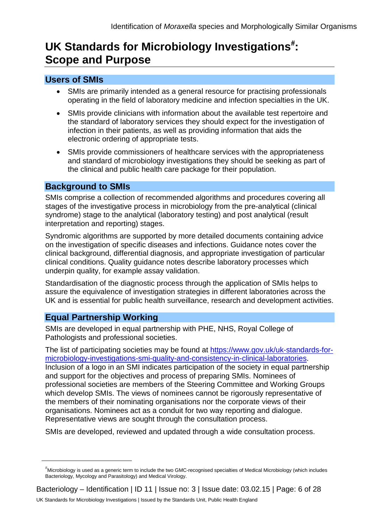## UK Standards for Microbiology Investigations<sup>[#](#page-0-0)</sup>: **Scope and Purpose**

### **Users of SMIs**

- SMIs are primarily intended as a general resource for practising professionals operating in the field of laboratory medicine and infection specialties in the UK.
- SMIs provide clinicians with information about the available test repertoire and the standard of laboratory services they should expect for the investigation of infection in their patients, as well as providing information that aids the electronic ordering of appropriate tests.
- SMIs provide commissioners of healthcare services with the appropriateness and standard of microbiology investigations they should be seeking as part of the clinical and public health care package for their population.

### **Background to SMIs**

SMIs comprise a collection of recommended algorithms and procedures covering all stages of the investigative process in microbiology from the pre-analytical (clinical syndrome) stage to the analytical (laboratory testing) and post analytical (result interpretation and reporting) stages.

Syndromic algorithms are supported by more detailed documents containing advice on the investigation of specific diseases and infections. Guidance notes cover the clinical background, differential diagnosis, and appropriate investigation of particular clinical conditions. Quality guidance notes describe laboratory processes which underpin quality, for example assay validation.

Standardisation of the diagnostic process through the application of SMIs helps to assure the equivalence of investigation strategies in different laboratories across the UK and is essential for public health surveillance, research and development activities.

## **Equal Partnership Working**

 $\overline{a}$ 

SMIs are developed in equal partnership with PHE, NHS, Royal College of Pathologists and professional societies.

The list of participating societies may be found at [https://www.gov.uk/uk-standards-for](https://www.gov.uk/uk-standards-for-microbiology-investigations-smi-quality-and-consistency-in-clinical-laboratories)[microbiology-investigations-smi-quality-and-consistency-in-clinical-laboratories.](https://www.gov.uk/uk-standards-for-microbiology-investigations-smi-quality-and-consistency-in-clinical-laboratories) Inclusion of a logo in an SMI indicates participation of the society in equal partnership and support for the objectives and process of preparing SMIs. Nominees of professional societies are members of the Steering Committee and Working Groups which develop SMIs. The views of nominees cannot be rigorously representative of the members of their nominating organisations nor the corporate views of their organisations. Nominees act as a conduit for two way reporting and dialogue. Representative views are sought through the consultation process.

SMIs are developed, reviewed and updated through a wide consultation process.

<sup>#</sup> Microbiology is used as a generic term to include the two GMC-recognised specialties of Medical Microbiology (which includes Bacteriology, Mycology and Parasitology) and Medical Virology.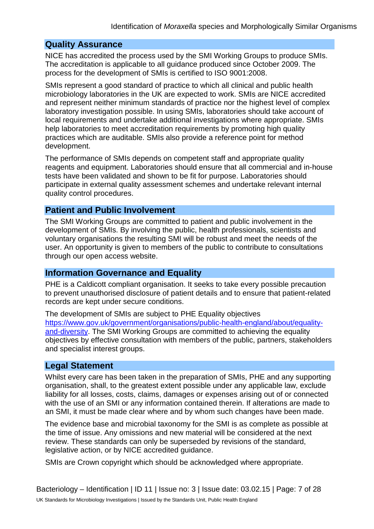### **Quality Assurance**

NICE has accredited the process used by the SMI Working Groups to produce SMIs. The accreditation is applicable to all guidance produced since October 2009. The process for the development of SMIs is certified to ISO 9001:2008.

SMIs represent a good standard of practice to which all clinical and public health microbiology laboratories in the UK are expected to work. SMIs are NICE accredited and represent neither minimum standards of practice nor the highest level of complex laboratory investigation possible. In using SMIs, laboratories should take account of local requirements and undertake additional investigations where appropriate. SMIs help laboratories to meet accreditation requirements by promoting high quality practices which are auditable. SMIs also provide a reference point for method development.

The performance of SMIs depends on competent staff and appropriate quality reagents and equipment. Laboratories should ensure that all commercial and in-house tests have been validated and shown to be fit for purpose. Laboratories should participate in external quality assessment schemes and undertake relevant internal quality control procedures.

### **Patient and Public Involvement**

The SMI Working Groups are committed to patient and public involvement in the development of SMIs. By involving the public, health professionals, scientists and voluntary organisations the resulting SMI will be robust and meet the needs of the user. An opportunity is given to members of the public to contribute to consultations through our open access website.

### **Information Governance and Equality**

PHE is a Caldicott compliant organisation. It seeks to take every possible precaution to prevent unauthorised disclosure of patient details and to ensure that patient-related records are kept under secure conditions.

The development of SMIs are subject to PHE Equality objectives [https://www.gov.uk/government/organisations/public-health-england/about/equality](https://www.gov.uk/government/organisations/public-health-england/about/equality-and-diversity)[and-diversity.](https://www.gov.uk/government/organisations/public-health-england/about/equality-and-diversity) The SMI Working Groups are committed to achieving the equality objectives by effective consultation with members of the public, partners, stakeholders and specialist interest groups.

### **Legal Statement**

Whilst every care has been taken in the preparation of SMIs, PHE and any supporting organisation, shall, to the greatest extent possible under any applicable law, exclude liability for all losses, costs, claims, damages or expenses arising out of or connected with the use of an SMI or any information contained therein. If alterations are made to an SMI, it must be made clear where and by whom such changes have been made.

The evidence base and microbial taxonomy for the SMI is as complete as possible at the time of issue. Any omissions and new material will be considered at the next review. These standards can only be superseded by revisions of the standard, legislative action, or by NICE accredited guidance.

SMIs are Crown copyright which should be acknowledged where appropriate.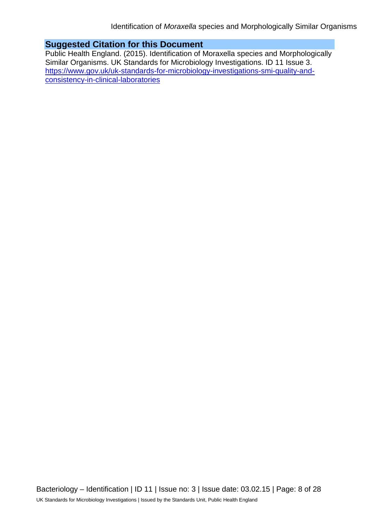### **Suggested Citation for this Document**

Public Health England. (2015). Identification of Moraxella species and Morphologically Similar Organisms. UK Standards for Microbiology Investigations. ID 11 Issue 3. [https://www.gov.uk/uk-standards-for-microbiology-investigations-smi-quality-and](https://www.gov.uk/uk-standards-for-microbiology-investigations-smi-quality-and-consistency-in-clinical-laboratories)[consistency-in-clinical-laboratories](https://www.gov.uk/uk-standards-for-microbiology-investigations-smi-quality-and-consistency-in-clinical-laboratories)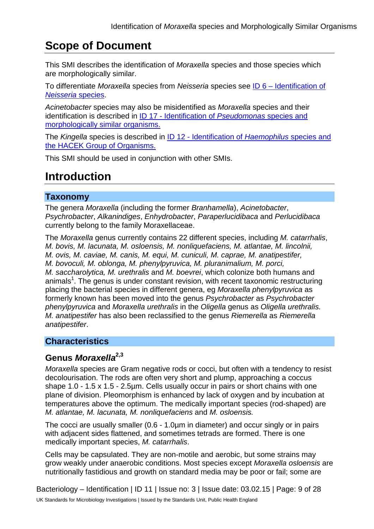## **Scope of Document**

This SMI describes the identification of *Moraxella* species and those species which are morphologically similar.

To differentiate *Moraxella* species from *Neisseria* species see ID 6 – [Identification of](https://www.gov.uk/government/collections/standards-for-microbiology-investigations-smi#identification)  *[Neisseria](https://www.gov.uk/government/collections/standards-for-microbiology-investigations-smi#identification)* species.

*Acinetobacter* species may also be misidentified as *Moraxella* species and their identification is described in ID 17 - [Identification of](https://www.gov.uk/government/collections/standards-for-microbiology-investigations-smi#identification) *Pseudomonas* species and [morphologically similar organisms.](https://www.gov.uk/government/collections/standards-for-microbiology-investigations-smi#identification)

The *Kingella* species is described in ID 12 - [Identification of](https://www.gov.uk/government/collections/standards-for-microbiology-investigations-smi#identification) *Haemophilus* species and [the HACEK Group of Organisms.](https://www.gov.uk/government/collections/standards-for-microbiology-investigations-smi#identification)

This SMI should be used in conjunction with other SMIs.

## **Introduction**

### **Taxonomy**

The genera *Moraxella* (including the former *Branhamella*), *Acinetobacter*, *Psychrobacter*, *Alkanindiges*, *Enhydrobacter*, *Paraperlucidibaca* and *Perlucidibaca* currently belong to the family Moraxellaceae.

The *Moraxella* genus currently contains 22 different species, including *M. catarrhalis*, *M. bovis, M. lacunata, M. osloensis, M. nonliquefaciens, M. atlantae, M. lincolnii, M. ovis, M. caviae, M. canis, M. equi, M. cuniculi, M. caprae, M. anatipestifer, M. bovoculi, M. oblonga, M. phenylpyruvica, M. pluranimalium, M. porci, M. saccharolytica, M. urethralis* and *M. boevrei*, which colonize both humans and animals<sup>1</sup>. The genus is under constant revision, with recent taxonomic restructuring placing the bacterial species in different genera, eg *Moraxella phenylpyruvica* as formerly known has been moved into the genus *Psychrobacter* as *Psychrobacter phenylpyruvica* and *Moraxella urethralis* in the *Oligella* genus as *Oligella urethralis. M. anatipestifer* has also been reclassified to the genus *Riemerella* as *Riemerella anatipestifer*.

## **Characteristics**

## **Genus** *Moraxella***2,3**

*Moraxella* species are Gram negative rods or cocci, but often with a tendency to resist decolourisation. The rods are often very short and plump, approaching a coccus shape 1.0 - 1.5 x 1.5 - 2.5µm. Cells usually occur in pairs or short chains with one plane of division. Pleomorphism is enhanced by lack of oxygen and by incubation at temperatures above the optimum. The medically important species (rod-shaped) are *M. atlantae, M. lacunata, M. nonliquefaciens* and *M. osloensis.*

The cocci are usually smaller (0.6 - 1.0µm in diameter) and occur singly or in pairs with adjacent sides flattened, and sometimes tetrads are formed. There is one medically important species, *M. catarrhalis*.

Cells may be capsulated. They are non-motile and aerobic, but some strains may grow weakly under anaerobic conditions. Most species except *Moraxella osloensis* are nutritionally fastidious and growth on standard media may be poor or fail; some are

Bacteriology – Identification | ID 11 | Issue no: 3 | Issue date: 03.02.15 | Page: 9 of 28 UK Standards for Microbiology Investigations | Issued by the Standards Unit, Public Health England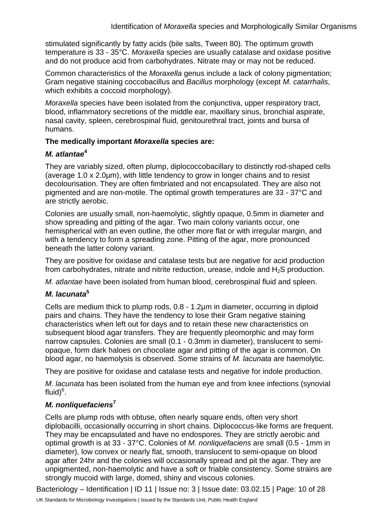stimulated significantly by fatty acids (bile salts, Tween 80). The optimum growth temperature is 33 - 35°C. *Moraxella* species are usually catalase and oxidase positive and do not produce acid from carbohydrates. Nitrate may or may not be reduced.

Common characteristics of the *Moraxella* genus include a lack of colony pigmentation; Gram negative staining coccobacillus and *Bacillus* morphology (except *M. catarrhalis*, which exhibits a coccoid morphology).

*Moraxella* species have been isolated from the conjunctiva, upper respiratory tract, blood, inflammatory secretions of the middle ear, maxillary sinus, bronchial aspirate, nasal cavity, spleen, cerebrospinal fluid, genitourethral tract, joints and bursa of humans.

#### **The medically important** *Moraxella* **species are:**

#### *M. atlantae***<sup>4</sup>**

They are variably sized, often plump, diplococcobacillary to distinctly rod-shaped cells (average 1.0 x 2.0µm), with little tendency to grow in longer chains and to resist decolourisation. They are often fimbriated and not encapsulated. They are also not pigmented and are non-motile. The optimal growth temperatures are 33 - 37°C and are strictly aerobic.

Colonies are usually small, non-haemolytic, slightly opaque, 0.5mm in diameter and show spreading and pitting of the agar. Two main colony variants occur, one hemispherical with an even outline, the other more flat or with irregular margin, and with a tendency to form a spreading zone. Pitting of the agar, more pronounced beneath the latter colony variant.

They are positive for oxidase and catalase tests but are negative for acid production from carbohydrates, nitrate and nitrite reduction, urease, indole and  $H_2S$  production.

*M. atlantae* have been isolated from human blood, cerebrospinal fluid and spleen.

### *M. lacunata***<sup>5</sup>**

Cells are medium thick to plump rods, 0.8 - 1.2µm in diameter, occurring in diploid pairs and chains. They have the tendency to lose their Gram negative staining characteristics when left out for days and to retain these new characteristics on subsequent blood agar transfers. They are frequently pleomorphic and may form narrow capsules. Colonies are small (0.1 - 0.3mm in diameter), translucent to semiopaque, form dark haloes on chocolate agar and pitting of the agar is common. On blood agar, no haemolysis is observed. Some strains of *M. lacunata* are haemolytic.

They are positive for oxidase and catalase tests and negative for indole production.

*M. lacunata* has been isolated from the human eye and from knee infections (synovial fluid)<sup>6</sup>.

### *M. nonliquefaciens***<sup>7</sup>**

Cells are plump rods with obtuse, often nearly square ends, often very short diplobacilli, occasionally occurring in short chains. Diplococcus-like forms are frequent. They may be encapsulated and have no endospores. They are strictly aerobic and optimal growth is at 33 - 37°C. Colonies of *M. nonliquefaciens* are small (0.5 - 1mm in diameter), low convex or nearly flat, smooth, translucent to semi-opaque on blood agar after 24hr and the colonies will occasionally spread and pit the agar. They are unpigmented, non-haemolytic and have a soft or friable consistency. Some strains are strongly mucoid with large, domed, shiny and viscous colonies.

Bacteriology – Identification | ID 11 | Issue no: 3 | Issue date: 03.02.15 | Page: 10 of 28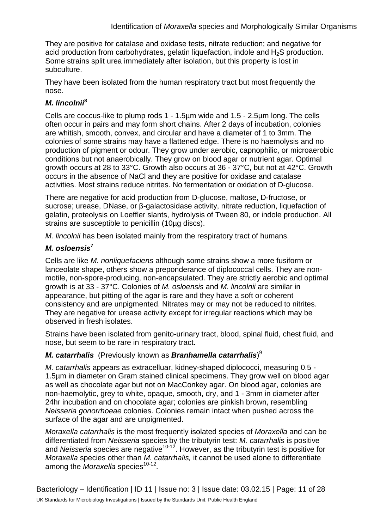They are positive for catalase and oxidase tests, nitrate reduction; and negative for acid production from carbohydrates, gelatin liquefaction, indole and H<sub>2</sub>S production. Some strains split urea immediately after isolation, but this property is lost in subculture.

They have been isolated from the human respiratory tract but most frequently the nose.

### *M. lincolnii***<sup>8</sup>**

Cells are coccus-like to plump rods 1 - 1.5µm wide and 1.5 - 2.5µm long. The cells often occur in pairs and may form short chains. After 2 days of incubation, colonies are whitish, smooth, convex, and circular and have a diameter of 1 to 3mm. The colonies of some strains may have a flattened edge. There is no haemolysis and no production of pigment or odour. They grow under aerobic, capnophilic, or microaerobic conditions but not anaerobically. They grow on blood agar or nutrient agar. Optimal growth occurs at 28 to 33°C. Growth also occurs at 36 - 37°C, but not at 42°C. Growth occurs in the absence of NaCl and they are positive for oxidase and catalase activities. Most strains reduce nitrites. No fermentation or oxidation of D-glucose.

There are negative for acid production from D-glucose, maltose, D-fructose, or sucrose; urease, DNase, or β-galactosidase activity, nitrate reduction, liquefaction of gelatin, proteolysis on Loeffler slants, hydrolysis of Tween 80, or indole production. All strains are susceptible to penicillin (10µg discs).

*M. lincolnii* has been isolated mainly from the respiratory tract of humans.

### *M. osloensis***<sup>7</sup>**

Cells are like *M. nonliquefaciens* although some strains show a more fusiform or lanceolate shape, others show a preponderance of diplococcal cells. They are nonmotile, non-spore-producing, non-encapsulated. They are strictly aerobic and optimal growth is at 33 - 37°C. Colonies of *M. osloensis* and *M. lincolnii* are similar in appearance, but pitting of the agar is rare and they have a soft or coherent consistency and are unpigmented. Nitrates may or may not be reduced to nitrites. They are negative for urease activity except for irregular reactions which may be observed in fresh isolates.

Strains have been isolated from genito-urinary tract, blood, spinal fluid, chest fluid, and nose, but seem to be rare in respiratory tract.

### *M. catarrhalis* (Previously known as *Branhamella catarrhalis*)<sup>9</sup>

*M. catarrhalis* appears as extracelluar, kidney-shaped diplococci, measuring 0.5 - 1.5µm in diameter on Gram stained clinical specimens. They grow well on blood agar as well as chocolate agar but not on MacConkey agar. On blood agar, colonies are non-haemolytic, grey to white, opaque, smooth, dry, and 1 - 3mm in diameter after 24hr incubation and on chocolate agar; colonies are pinkish brown, resembling *Neisseria gonorrhoeae* colonies. Colonies remain intact when pushed across the surface of the agar and are unpigmented.

*Moraxella catarrhalis* is the most frequently isolated species of *Moraxella* and can be differentiated from *Neisseria* species by the tributyrin test: *M. catarrhalis* is positive and *Neisseria* species are negative<sup>10-12</sup>. However, as the tributyrin test is positive for *Moraxella* species other than *M. catarrhalis,* it cannot be used alone to differentiate among the *Moraxella* species<sup>10-12</sup>.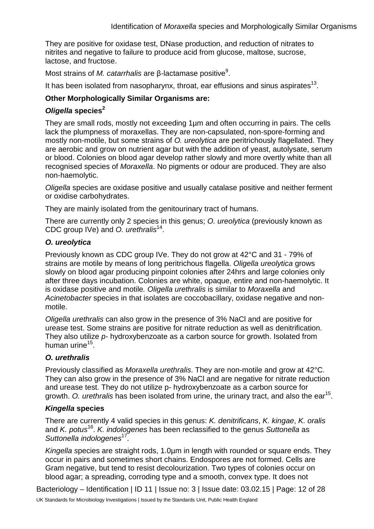They are positive for oxidase test, DNase production, and reduction of nitrates to nitrites and negative to failure to produce acid from glucose, maltose, sucrose, lactose, and fructose.

Most strains of *M. catarrhalis* are β-lactamase positive<sup>9</sup>.

It has been isolated from nasopharynx, throat, ear effusions and sinus aspirates<sup>13</sup>.

### **Other Morphologically Similar Organisms are:**

### *Oligella* **species<sup>2</sup>**

They are small rods, mostly not exceeding 1µm and often occurring in pairs. The cells lack the plumpness of moraxellas. They are non-capsulated, non-spore-forming and mostly non-motile, but some strains of *O. ureolytica* are peritrichously flagellated. They are aerobic and grow on nutrient agar but with the addition of yeast, autolysate, serum or blood. Colonies on blood agar develop rather slowly and more overtly white than all recognised species of *Moraxella*. No pigments or odour are produced. They are also non-haemolytic.

*Oligella* species are oxidase positive and usually catalase positive and neither ferment or oxidise carbohydrates.

They are mainly isolated from the genitourinary tract of humans.

There are currently only 2 species in this genus; *O. ureolytica* (previously known as CDC group IVe) and *O. urethralis*14.

#### *O. ureolytica*

Previously known as CDC group IVe. They do not grow at 42°C and 31 - 79% of strains are motile by means of long peritrichous flagella. *Oligella ureolytica* grows slowly on blood agar producing pinpoint colonies after 24hrs and large colonies only after three days incubation. Colonies are white, opaque, entire and non-haemolytic. It is oxidase positive and motile*. Oligella urethralis* is similar to *Moraxella* and *Acinetobacter* species in that isolates are coccobacillary, oxidase negative and nonmotile.

*Oligella urethralis* can also grow in the presence of 3% NaCl and are positive for urease test. Some strains are positive for nitrate reduction as well as denitrification. They also utilize *p*- hydroxybenzoate as a carbon source for growth. Isolated from human urine $15$ .

### *O. urethralis*

Previously classified as *Moraxella urethralis*. They are non-motile and grow at 42°C. They can also grow in the presence of 3% NaCl and are negative for nitrate reduction and urease test. They do not utilize p- hydroxybenzoate as a carbon source for growth. *O. urethralis* has been isolated from urine, the urinary tract, and also the ear<sup>15</sup>.

### *Kingella* **species**

There are currently 4 valid species in this genus: *K. denitrificans*, *K. kingae*, *K. oralis* and *K. potus*16. *K. indologenes* has been reclassified to the genus *Suttonella* as *Suttonella indologenes*17.

*Kingella species are straight rods, 1.0um in length with rounded or square ends. They* occur in pairs and sometimes short chains. Endospores are not formed. Cells are Gram negative, but tend to resist decolourization. Two types of colonies occur on blood agar; a spreading, corroding type and a smooth, convex type. It does not

Bacteriology – Identification | ID 11 | Issue no: 3 | Issue date: 03.02.15 | Page: 12 of 28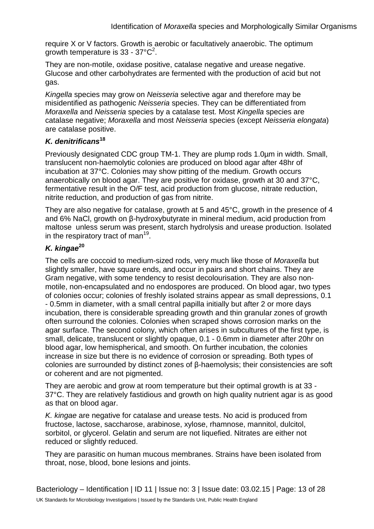require X or V factors. Growth is aerobic or facultatively anaerobic. The optimum growth temperature is 33 - 37 $^{\circ}$ C<sup>2</sup>.

They are non-motile, oxidase positive, catalase negative and urease negative. Glucose and other carbohydrates are fermented with the production of acid but not gas.

*Kingella* species may grow on *Neisseria* selective agar and therefore may be misidentified as pathogenic *Neisseria* species. They can be differentiated from *Moraxella* and *Neisseria* species by a catalase test. Most *Kingella* species are catalase negative; *Moraxella* and most *Neisseria* species (except *Neisseria elongata*) are catalase positive.

### *K. denitrificans***<sup>18</sup>**

Previously designated CDC group TM-1. They are plump rods 1.0µm in width. Small, translucent non-haemolytic colonies are produced on blood agar after 48hr of incubation at 37°C. Colonies may show pitting of the medium. Growth occurs anaerobically on blood agar. They are positive for oxidase, growth at 30 and 37°C, fermentative result in the O/F test, acid production from glucose, nitrate reduction, nitrite reduction, and production of gas from nitrite.

They are also negative for catalase, growth at 5 and 45°C, growth in the presence of 4 and 6% NaCl, growth on β-hydroxybutyrate in mineral medium, acid production from maltose unless serum was present, starch hydrolysis and urease production. Isolated in the respiratory tract of man<sup>19</sup>.

## *K. kingae***<sup>20</sup>**

The cells are coccoid to medium-sized rods, very much like those of *Moraxella* but slightly smaller, have square ends, and occur in pairs and short chains. They are Gram negative, with some tendency to resist decolourisation. They are also nonmotile, non-encapsulated and no endospores are produced. On blood agar, two types of colonies occur; colonies of freshly isolated strains appear as small depressions, 0.1 - 0.5mm in diameter, with a small central papilla initially but after 2 or more days incubation, there is considerable spreading growth and thin granular zones of growth often surround the colonies. Colonies when scraped shows corrosion marks on the agar surface. The second colony, which often arises in subcultures of the first type, is small, delicate, translucent or slightly opaque, 0.1 - 0.6mm in diameter after 20hr on blood agar, low hemispherical, and smooth. On further incubation, the colonies increase in size but there is no evidence of corrosion or spreading. Both types of colonies are surrounded by distinct zones of β-haemolysis; their consistencies are soft or coherent and are not pigmented.

They are aerobic and grow at room temperature but their optimal growth is at 33 - 37°C. They are relatively fastidious and growth on high quality nutrient agar is as good as that on blood agar.

*K. kingae* are negative for catalase and urease tests. No acid is produced from fructose, lactose, saccharose, arabinose, xylose, rhamnose, mannitol, dulcitol, sorbitol, or glycerol. Gelatin and serum are not liquefied. Nitrates are either not reduced or slightly reduced.

They are parasitic on human mucous membranes. Strains have been isolated from throat, nose, blood, bone lesions and joints.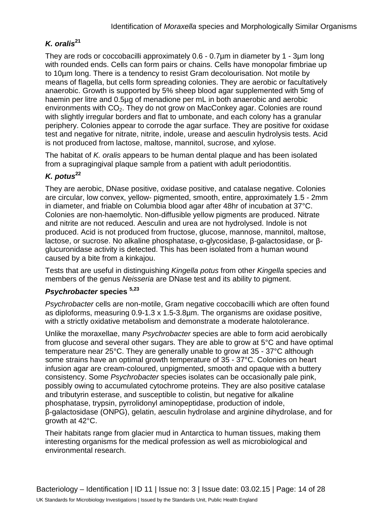## *K. oralis***<sup>21</sup>**

They are rods or coccobacilli approximately 0.6 - 0.7µm in diameter by 1 - 3µm long with rounded ends. Cells can form pairs or chains. Cells have monopolar fimbriae up to 10µm long. There is a tendency to resist Gram decolourisation. Not motile by means of flagella, but cells form spreading colonies. They are aerobic or facultatively anaerobic. Growth is supported by 5% sheep blood agar supplemented with 5mg of haemin per litre and 0.5µg of menadione per mL in both anaerobic and aerobic environments with  $CO<sub>2</sub>$ . They do not grow on MacConkey agar. Colonies are round with slightly irregular borders and flat to umbonate, and each colony has a granular periphery. Colonies appear to corrode the agar surface. They are positive for oxidase test and negative for nitrate, nitrite, indole, urease and aesculin hydrolysis tests. Acid is not produced from lactose, maltose, mannitol, sucrose, and xylose.

The habitat of *K. oralis* appears to be human dental plaque and has been isolated from a supragingival plaque sample from a patient with adult periodontitis.

## *K. potus***<sup>22</sup>**

They are aerobic, DNase positive, oxidase positive, and catalase negative. Colonies are circular, low convex, yellow- pigmented, smooth, entire, approximately 1.5 - 2mm in diameter, and friable on Columbia blood agar after 48hr of incubation at 37°C. Colonies are non-haemolytic. Non-diffusible yellow pigments are produced. Nitrate and nitrite are not reduced. Aesculin and urea are not hydrolysed. Indole is not produced. Acid is not produced from fructose, glucose, mannose, mannitol, maltose, lactose, or sucrose. No alkaline phosphatase, α-glycosidase, β-galactosidase, or βglucuronidase activity is detected. This has been isolated from a human wound caused by a bite from a kinkajou.

Tests that are useful in distinguishing *Kingella potus* from other *Kingella* species and members of the genus *Neisseria* are DNase test and its ability to pigment.

### *Psychrobacter* **species 5,23**

*Psychrobacter* cells are non-motile, Gram negative coccobacilli which are often found as diploforms, measuring 0.9-1.3 x 1.5-3.8µm. The organisms are oxidase positive, with a strictly oxidative metabolism and demonstrate a moderate halotolerance.

Unlike the moraxellae, many *Psychrobacter* species are able to form acid aerobically from glucose and several other sugars. They are able to grow at 5°C and have optimal temperature near 25°C. They are generally unable to grow at 35 - 37°C although some strains have an optimal growth temperature of 35 - 37°C. Colonies on heart infusion agar are cream-coloured, unpigmented, smooth and opaque with a buttery consistency. Some *Psychrobacter* species isolates can be occasionally pale pink, possibly owing to accumulated cytochrome proteins. They are also positive catalase and tributyrin esterase, and susceptible to colistin, but negative for alkaline phosphatase, trypsin, pyrrolidonyl aminopeptidase, production of indole, β-galactosidase (ONPG), gelatin, aesculin hydrolase and arginine dihydrolase, and for growth at 42°C.

Their habitats range from glacier mud in Antarctica to human tissues, making them interesting organisms for the medical profession as well as microbiological and environmental research.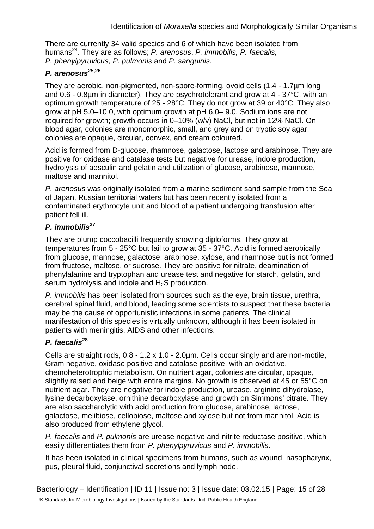There are currently 34 valid species and 6 of which have been isolated from humans24. They are as follows; *P. arenosus*, *P. immobilis, P. faecalis, P. phenylpyruvicus, P. pulmonis* and *P. sanguinis.*

### *P. arenosus***25,26**

They are aerobic, non-pigmented, non-spore-forming, ovoid cells (1.4 - 1.7µm long and 0.6 - 0.8µm in diameter). They are psychrotolerant and grow at 4 - 37°C, with an optimum growth temperature of 25 - 28°C. They do not grow at 39 or 40°C. They also grow at pH 5.0–10.0, with optimum growth at pH 6.0– 9.0. Sodium ions are not required for growth; growth occurs in 0–10% (w/v) NaCl, but not in 12% NaCl. On blood agar, colonies are monomorphic, small, and grey and on tryptic soy agar, colonies are opaque, circular, convex, and cream coloured.

Acid is formed from D-glucose, rhamnose, galactose, lactose and arabinose. They are positive for oxidase and catalase tests but negative for urease, indole production, hydrolysis of aesculin and gelatin and utilization of glucose, arabinose, mannose, maltose and mannitol.

*P. arenosus* was originally isolated from a marine sediment sand sample from the Sea of Japan, Russian territorial waters but has been recently isolated from a contaminated erythrocyte unit and blood of a patient undergoing transfusion after patient fell ill.

### *P. immobilis***<sup>27</sup>**

They are plump coccobacilli frequently showing diploforms. They grow at temperatures from 5 - 25°C but fail to grow at 35 - 37°C. Acid is formed aerobically from glucose, mannose, galactose, arabinose, xylose, and rhamnose but is not formed from fructose, maltose, or sucrose. They are positive for nitrate, deamination of phenylalanine and tryptophan and urease test and negative for starch, gelatin, and serum hydrolysis and indole and H<sub>2</sub>S production.

*P. immobilis* has been isolated from sources such as the eye, brain tissue, urethra, cerebral spinal fluid, and blood, leading some scientists to suspect that these bacteria may be the cause of opportunistic infections in some patients. The clinical manifestation of this species is virtually unknown, although it has been isolated in patients with meningitis, AIDS and other infections.

## *P. faecalis***<sup>28</sup>**

Cells are straight rods, 0.8 - 1.2 x 1.0 - 2.0µm. Cells occur singly and are non-motile, Gram negative, oxidase positive and catalase positive, with an oxidative, chemoheterotrophic metabolism. On nutrient agar, colonies are circular, opaque, slightly raised and beige with entire margins. No growth is observed at 45 or 55°C on nutrient agar. They are negative for indole production, urease, arginine dihydrolase, lysine decarboxylase, ornithine decarboxylase and growth on Simmons' citrate. They are also saccharolytic with acid production from glucose, arabinose, lactose, galactose, melibiose, cellobiose, maltose and xylose but not from mannitol. Acid is also produced from ethylene glycol.

*P. faecalis* and *P. pulmonis* are urease negative and nitrite reductase positive, which easily differentiates them from *P. phenylpyruvicus* and *P. immobilis*.

It has been isolated in clinical specimens from humans, such as wound, nasopharynx, pus, pleural fluid, conjunctival secretions and lymph node.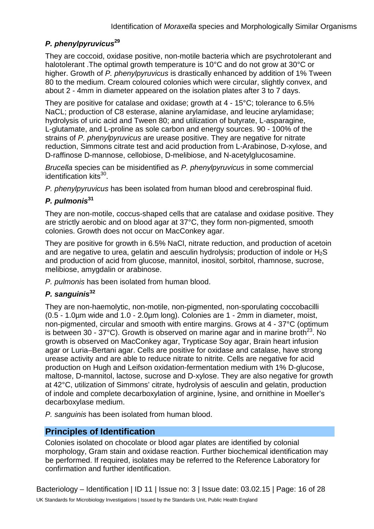### *P. phenylpyruvicus***<sup>29</sup>**

They are coccoid, oxidase positive, non-motile bacteria which are psychrotolerant and halotolerant .The optimal growth temperature is 10°C and do not grow at 30°C or higher. Growth of *P. phenylpyruvicus* is drastically enhanced by addition of 1% Tween 80 to the medium. Cream coloured colonies which were circular, slightly convex, and about 2 - 4mm in diameter appeared on the isolation plates after 3 to 7 days.

They are positive for catalase and oxidase; growth at 4 - 15°C; tolerance to 6.5% NaCL; production of C8 esterase, alanine arylamidase, and leucine arylamidase; hydrolysis of uric acid and Tween 80; and utilization of butyrate, L-asparagine, L-glutamate, and L-proline as sole carbon and energy sources. 90 - 100% of the strains of *P. phenylpyruvicus* are urease positive. They are negative for nitrate reduction, Simmons citrate test and acid production from L-Arabinose, D-xylose, and D-raffinose D-mannose, cellobiose, D-melibiose, and N-acetylglucosamine.

*Brucella* species can be misidentified as *P. phenylpyruvicus* in some commercial identification kits $30$ .

*P. phenylpyruvicus* has been isolated from human blood and cerebrospinal fluid.

## *P. pulmonis***<sup>31</sup>**

They are non-motile, coccus-shaped cells that are catalase and oxidase positive. They are strictly aerobic and on blood agar at 37°C, they form non-pigmented, smooth colonies. Growth does not occur on MacConkey agar.

They are positive for growth in 6.5% NaCl, nitrate reduction, and production of acetoin and are negative to urea, gelatin and aesculin hydrolysis; production of indole or  $H_2S$ and production of acid from glucose, mannitol, inositol, sorbitol, rhamnose, sucrose, melibiose, amygdalin or arabinose.

*P. pulmonis* has been isolated from human blood.

### *P. sanguinis***<sup>32</sup>**

They are non-haemolytic, non-motile, non-pigmented, non-sporulating coccobacilli (0.5 - 1.0µm wide and 1.0 - 2.0µm long). Colonies are 1 - 2mm in diameter, moist, non-pigmented, circular and smooth with entire margins. Grows at 4 - 37°C (optimum is between 30 - 37°C). Growth is observed on marine agar and in marine broth<sup>23</sup>. No growth is observed on MacConkey agar, Trypticase Soy agar, Brain heart infusion agar or Luria–Bertani agar. Cells are positive for oxidase and catalase, have strong urease activity and are able to reduce nitrate to nitrite. Cells are negative for acid production on Hugh and Leifson oxidation-fermentation medium with 1% D-glucose, maltose, D-mannitol, lactose, sucrose and D-xylose. They are also negative for growth at 42°C, utilization of Simmons' citrate, hydrolysis of aesculin and gelatin, production of indole and complete decarboxylation of arginine, lysine, and ornithine in Moeller's decarboxylase medium.

*P. sanguinis* has been isolated from human blood.

### **Principles of Identification**

Colonies isolated on chocolate or blood agar plates are identified by colonial morphology, Gram stain and oxidase reaction. Further biochemical identification may be performed. If required, isolates may be referred to the Reference Laboratory for confirmation and further identification.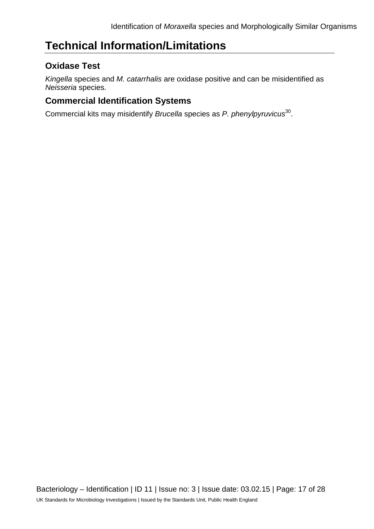## **Technical Information/Limitations**

## **Oxidase Test**

*Kingella* species and *M. catarrhalis* are oxidase positive and can be misidentified as *Neisseria* species.

## **Commercial Identification Systems**

Commercial kits may misidentify *Brucella* species as *P. phenylpyruvicus*30.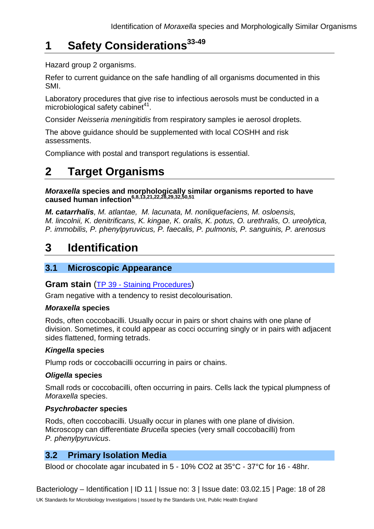## **1 Safety Considerations33-49**

Hazard group 2 organisms.

Refer to current guidance on the safe handling of all organisms documented in this SMI.

Laboratory procedures that give rise to infectious aerosols must be conducted in a microbiological safety cabinet<sup>41</sup>.

Consider *Neisseria meningitidis* from respiratory samples ie aerosol droplets.

The above guidance should be supplemented with local COSHH and risk assessments.

Compliance with postal and transport regulations is essential.

## **2 Target Organisms**

*Moraxella* **species and morphologically similar organisms reported to have caused human infection6,8,13,21,22,28,29,32,50,51** 

*M. catarrhalis, M. atlantae, M. lacunata, M. nonliquefaciens, M. osloensis, M. lincolnii, K. denitrificans, K. kingae, K. oralis, K. potus, O. urethralis, O. ureolytica, P. immobilis, P. phenylpyruvicus, P. faecalis, P. pulmonis, P. sanguinis, P. arenosus*

## **3 Identification**

## **3.1 Microscopic Appearance**

### **Gram stain** (TP 39 - [Staining Procedures\)](https://www.gov.uk/government/collections/standards-for-microbiology-investigations-smi#test-procedures)

Gram negative with a tendency to resist decolourisation.

### *Moraxella* **species**

Rods, often coccobacilli. Usually occur in pairs or short chains with one plane of division. Sometimes, it could appear as cocci occurring singly or in pairs with adjacent sides flattened, forming tetrads.

### *Kingella* **species**

Plump rods or coccobacilli occurring in pairs or chains.

#### *Oligella* **species**

Small rods or coccobacilli, often occurring in pairs. Cells lack the typical plumpness of *Moraxella* species.

### *Psychrobacter* **species**

Rods, often coccobacilli. Usually occur in planes with one plane of division. Microscopy can differentiate *Brucella* species (very small coccobacilli) from *P. phenylpyruvicus*.

## **3.2 Primary Isolation Media**

Blood or chocolate agar incubated in 5 - 10% CO2 at 35°C - 37°C for 16 - 48hr.

Bacteriology – Identification | ID 11 | Issue no: 3 | Issue date: 03.02.15 | Page: 18 of 28 UK Standards for Microbiology Investigations | Issued by the Standards Unit, Public Health England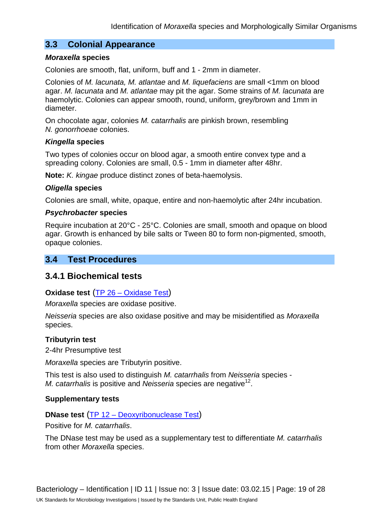### **3.3 Colonial Appearance**

#### *Moraxella* **species**

Colonies are smooth, flat, uniform, buff and 1 - 2mm in diameter.

Colonies of *M. lacunata, M. atlantae* and *M. liquefaciens* are small <1mm on blood agar. *M. lacunata* and *M. atlantae* may pit the agar. Some strains of *M. lacunata* are haemolytic. Colonies can appear smooth, round, uniform, grey/brown and 1mm in diameter.

On chocolate agar, colonies *M. catarrhalis* are pinkish brown, resembling *N. gonorrhoeae* colonies.

#### *Kingella* **species**

Two types of colonies occur on blood agar, a smooth entire convex type and a spreading colony. Colonies are small, 0.5 - 1mm in diameter after 48hr.

**Note:** *K. kingae* produce distinct zones of beta-haemolysis.

#### *Oligella* **species**

Colonies are small, white, opaque, entire and non-haemolytic after 24hr incubation.

#### *Psychrobacter* **species**

Require incubation at 20°C - 25°C. Colonies are small, smooth and opaque on blood agar. Growth is enhanced by bile salts or Tween 80 to form non-pigmented, smooth, opaque colonies.

### **3.4 Test Procedures**

### **3.4.1 Biochemical tests**

#### **Oxidase test** (TP 26 – [Oxidase Test\)](https://www.gov.uk/government/collections/standards-for-microbiology-investigations-smi#test-procedures)

*Moraxella* species are oxidase positive.

*Neisseria* species are also oxidase positive and may be misidentified as *Moraxella* species.

#### **Tributyrin test**

2-4hr Presumptive test

*Moraxella* species are Tributyrin positive.

This test is also used to distinguish *M. catarrhalis* from *Neisseria* species - *M. catarrhalis* is positive and *Neisseria* species are negative<sup>12</sup>.

#### **Supplementary tests**

### **DNase test** (TP 12 – [Deoxyribonuclease Test\)](https://www.gov.uk/government/collections/standards-for-microbiology-investigations-smi#test-procedures)

Positive for *M. catarrhalis*.

The DNase test may be used as a supplementary test to differentiate *M. catarrhalis* from other *Moraxella* species.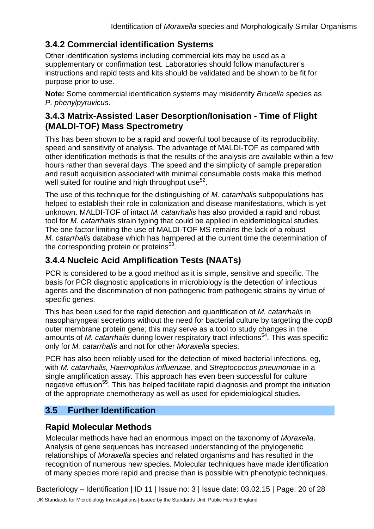## **3.4.2 Commercial identification Systems**

Other identification systems including commercial kits may be used as a supplementary or confirmation test. Laboratories should follow manufacturer's instructions and rapid tests and kits should be validated and be shown to be fit for purpose prior to use.

**Note:** Some commercial identification systems may misidentify *Brucella* species as *P. phenylpyruvicus*.

## **3.4.3 Matrix-Assisted Laser Desorption/Ionisation - Time of Flight (MALDI-TOF) Mass Spectrometry**

This has been shown to be a rapid and powerful tool because of its reproducibility, speed and sensitivity of analysis. The advantage of MALDI-TOF as compared with other identification methods is that the results of the analysis are available within a few hours rather than several days. The speed and the simplicity of sample preparation and result acquisition associated with minimal consumable costs make this method well suited for routine and high throughput use $52$ .

The use of this technique for the distinguishing of *M. catarrhalis* subpopulations has helped to establish their role in colonization and disease manifestations, which is yet unknown. MALDI-TOF of intact *M. catarrhalis* has also provided a rapid and robust tool for *M. catarrhalis* strain typing that could be applied in epidemiological studies. The one factor limiting the use of MALDI-TOF MS remains the lack of a robust *M. catarrhalis* database which has hampered at the current time the determination of the corresponding protein or proteins<sup>53</sup>.

## **3.4.4 Nucleic Acid Amplification Tests (NAATs)**

PCR is considered to be a good method as it is simple, sensitive and specific. The basis for PCR diagnostic applications in microbiology is the detection of infectious agents and the discrimination of non-pathogenic from pathogenic strains by virtue of specific genes.

This has been used for the rapid detection and quantification of *M. catarrhalis* in nasopharyngeal secretions without the need for bacterial culture by targeting the *copB* outer membrane protein gene; this may serve as a tool to study changes in the amounts of *M. catarrhalis* during lower respiratory tract infections<sup>54</sup>. This was specific only for *M. catarrhalis* and not for other *Moraxella* species.

PCR has also been reliably used for the detection of mixed bacterial infections, eg, with *M. catarrhalis, Haemophilus influenzae,* and *Streptococcus pneumoniae* in a single amplification assay. This approach has even been successful for culture negative effusion<sup>55</sup>. This has helped facilitate rapid diagnosis and prompt the initiation of the appropriate chemotherapy as well as used for epidemiological studies.

## **3.5 Further Identification**

## **Rapid Molecular Methods**

Molecular methods have had an enormous impact on the taxonomy of *Moraxella*. Analysis of gene sequences has increased understanding of the phylogenetic relationships of *Moraxella* species and related organisms and has resulted in the recognition of numerous new species. Molecular techniques have made identification of many species more rapid and precise than is possible with phenotypic techniques.

Bacteriology – Identification | ID 11 | Issue no: 3 | Issue date: 03.02.15 | Page: 20 of 28 UK Standards for Microbiology Investigations | Issued by the Standards Unit, Public Health England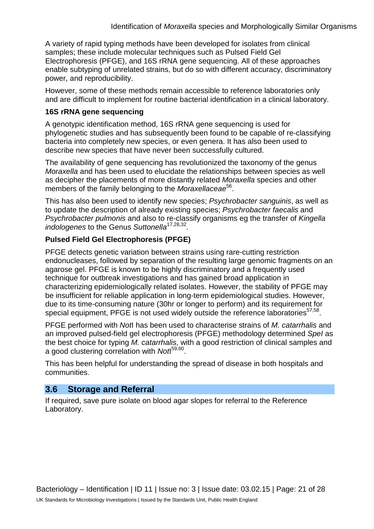A variety of rapid typing methods have been developed for isolates from clinical samples; these include molecular techniques such as Pulsed Field Gel Electrophoresis (PFGE), and 16S rRNA gene sequencing. All of these approaches enable subtyping of unrelated strains, but do so with different accuracy, discriminatory power, and reproducibility.

However, some of these methods remain accessible to reference laboratories only and are difficult to implement for routine bacterial identification in a clinical laboratory.

#### **16S rRNA gene sequencing**

A genotypic identification method, 16S rRNA gene sequencing is used for phylogenetic studies and has subsequently been found to be capable of re-classifying bacteria into completely new species, or even genera. It has also been used to describe new species that have never been successfully cultured.

The availability of gene sequencing has revolutionized the taxonomy of the genus *Moraxella* and has been used to elucidate the relationships between species as well as decipher the placements of more distantly related *Moraxella* species and other members of the family belonging to the *Moraxellaceae*<sup>56</sup>.

This has also been used to identify new species; *Psychrobacter sanguinis*, as well as to update the description of already existing species; *Psychrobacter faecalis* and *Psychrobacter pulmonis* and also to re-classify organisms eg the transfer of *Kingella indologenes* to the Genus *Suttonella*17,28,32.

### **Pulsed Field Gel Electrophoresis (PFGE)**

PFGE detects genetic variation between strains using rare-cutting restriction endonucleases, followed by separation of the resulting large genomic fragments on an agarose gel. PFGE is known to be highly discriminatory and a frequently used technique for outbreak investigations and has gained broad application in characterizing epidemiologically related isolates. However, the stability of PFGE may be insufficient for reliable application in long-term epidemiological studies. However, due to its time-consuming nature (30hr or longer to perform) and its requirement for special equipment, PFGE is not used widely outside the reference laboratories<sup>57,58</sup>.

PFGE performed with *Not*I has been used to characterise strains of *M. catarrhalis* and an improved pulsed-field gel electrophoresis (PFGE) methodology determined *SpeI* as the best choice for typing *M. catarrhalis*, with a good restriction of clinical samples and a good clustering correlation with *Not*I 59,60.

This has been helpful for understanding the spread of disease in both hospitals and communities.

## **3.6 Storage and Referral**

If required, save pure isolate on blood agar slopes for referral to the Reference Laboratory.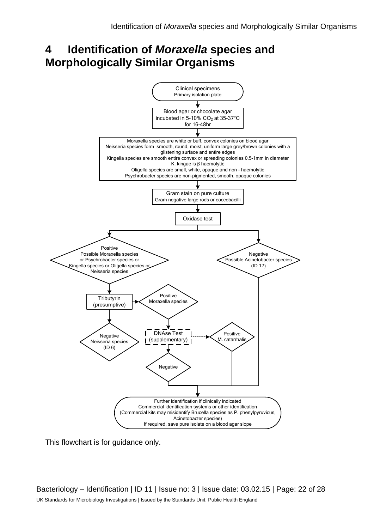## **4 Identification of** *Moraxella* **species and Morphologically Similar Organisms**



This flowchart is for guidance only.

Bacteriology – Identification | ID 11 | Issue no: 3 | Issue date: 03.02.15 | Page: 22 of 28 UK Standards for Microbiology Investigations | Issued by the Standards Unit, Public Health England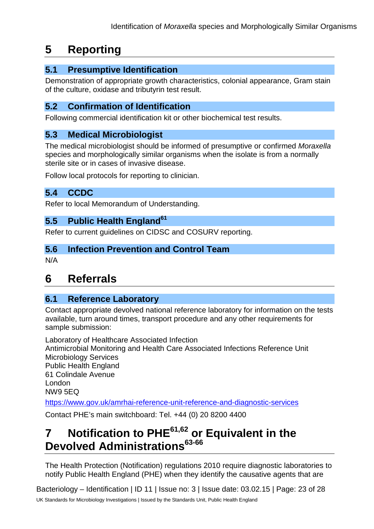## **5 Reporting**

## **5.1 Presumptive Identification**

Demonstration of appropriate growth characteristics, colonial appearance, Gram stain of the culture, oxidase and tributyrin test result.

### **5.2 Confirmation of Identification**

Following commercial identification kit or other biochemical test results.

### **5.3 Medical Microbiologist**

The medical microbiologist should be informed of presumptive or confirmed *Moraxella*  species and morphologically similar organisms when the isolate is from a normally sterile site or in cases of invasive disease.

Follow local protocols for reporting to clinician.

## **5.4 CCDC**

Refer to local Memorandum of Understanding.

## **5.5 Public Health England<sup>61</sup>**

Refer to current guidelines on CIDSC and COSURV reporting.

### **5.6 Infection Prevention and Control Team**

N/A

## **6 Referrals**

### **6.1 Reference Laboratory**

Contact appropriate devolved national reference laboratory for information on the tests available, turn around times, transport procedure and any other requirements for sample submission:

Laboratory of Healthcare Associated Infection Antimicrobial Monitoring and Health Care Associated Infections Reference Unit Microbiology Services Public Health England 61 Colindale Avenue London NW9 5EQ <https://www.gov.uk/amrhai-reference-unit-reference-and-diagnostic-services>

Contact PHE's main switchboard: Tel. +44 (0) 20 8200 4400

## **7 Notification to PHE61,62 or Equivalent in the Devolved Administrations63-66**

The Health Protection (Notification) regulations 2010 require diagnostic laboratories to notify Public Health England (PHE) when they identify the causative agents that are

Bacteriology – Identification | ID 11 | Issue no: 3 | Issue date: 03.02.15 | Page: 23 of 28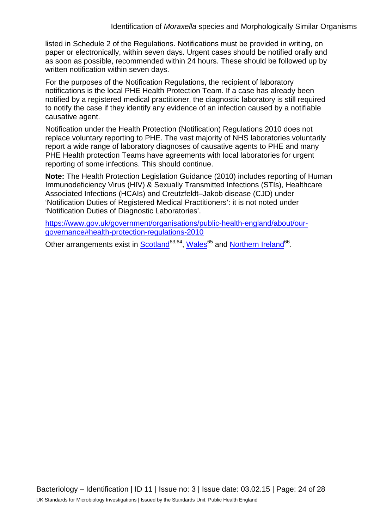listed in Schedule 2 of the Regulations. Notifications must be provided in writing, on paper or electronically, within seven days. Urgent cases should be notified orally and as soon as possible, recommended within 24 hours. These should be followed up by written notification within seven days.

For the purposes of the Notification Regulations, the recipient of laboratory notifications is the local PHE Health Protection Team. If a case has already been notified by a registered medical practitioner, the diagnostic laboratory is still required to notify the case if they identify any evidence of an infection caused by a notifiable causative agent.

Notification under the Health Protection (Notification) Regulations 2010 does not replace voluntary reporting to PHE. The vast majority of NHS laboratories voluntarily report a wide range of laboratory diagnoses of causative agents to PHE and many PHE Health protection Teams have agreements with local laboratories for urgent reporting of some infections. This should continue.

**Note:** The Health Protection Legislation Guidance (2010) includes reporting of Human Immunodeficiency Virus (HIV) & Sexually Transmitted Infections (STIs), Healthcare Associated Infections (HCAIs) and Creutzfeldt–Jakob disease (CJD) under 'Notification Duties of Registered Medical Practitioners': it is not noted under 'Notification Duties of Diagnostic Laboratories'.

[https://www.gov.uk/government/organisations/public-health-england/about/our](https://www.gov.uk/government/organisations/public-health-england/about/our-governance#health-protection-regulations-2010)[governance#health-protection-regulations-2010](https://www.gov.uk/government/organisations/public-health-england/about/our-governance#health-protection-regulations-2010)

Other arrangements exist in [Scotland](http://www.scotland.gov.uk/Topics/Health/Policy/Public-Health-Act/Implementation/Guidance/Guidance-Part2)<sup>63,64</sup>, Wales<sup>65</sup> and [Northern Ireland](http://www.publichealth.hscni.net/directorate-public-health/health-protection)<sup>66</sup>.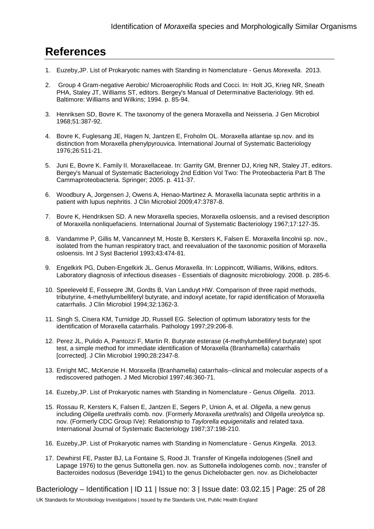## **References**

- 1. Euzeby,JP. List of Prokaryotic names with Standing in Nomenclature Genus *Morexella*. 2013.
- 2. Group 4 Gram-negative Aerobic/ Microaerophilic Rods and Cocci. In: Holt JG, Krieg NR, Sneath PHA, Staley JT, Williams ST, editors. Bergey's Manual of Determinative Bacteriology. 9th ed. Baltimore: Williams and Wilkins; 1994. p. 85-94.
- 3. Henriksen SD, Bovre K. The taxonomy of the genera Moraxella and Neisseria. J Gen Microbiol 1968;51:387-92.
- 4. Bovre K, Fuglesang JE, Hagen N, Jantzen E, Froholm OL. Moraxella atlantae sp.nov. and its distinction from Moraxella phenylpyrouvica. International Journal of Systematic Bacteriology 1976;26:511-21.
- 5. Juni E, Bovre K. Family II. Moraxellaceae. In: Garrity GM, Brenner DJ, Krieg NR, Staley JT, editors. Bergey's Manual of Systematic Bacteriology 2nd Edition Vol Two: The Proteobacteria Part B The Cammaproteobacteria. Springer; 2005. p. 411-37.
- 6. Woodbury A, Jorgensen J, Owens A, Henao-Martinez A. Moraxella lacunata septic arthritis in a patient with lupus nephritis. J Clin Microbiol 2009;47:3787-8.
- 7. Bovre K, Hendriksen SD. A new Moraxella species, Moraxella osloensis, and a revised description of Moraxella nonliquefaciens. International Journal of Systematic Bacteriology 1967;17:127-35.
- 8. Vandamme P, Gillis M, Vancanneyt M, Hoste B, Kersters K, Falsen E. Moraxella lincolnii sp. nov., isolated from the human respiratory tract, and reevaluation of the taxonomic position of Moraxella osloensis. Int J Syst Bacteriol 1993;43:474-81.
- 9. Engelkirk PG, Duben-Engelkirk JL. Genus *Moraxella*. In: Loppincott, Williams, Wilkins, editors. Laboratory diagnosis of infectious diseases - Essentials of diagnositc microbiology. 2008. p. 285-6.
- 10. Speeleveld E, Fossepre JM, Gordts B, Van Landuyt HW. Comparison of three rapid methods, tributyrine, 4-methylumbelliferyl butyrate, and indoxyl acetate, for rapid identification of Moraxella catarrhalis. J Clin Microbiol 1994;32:1362-3.
- 11. Singh S, Cisera KM, Turnidge JD, Russell EG. Selection of optimum laboratory tests for the identification of Moraxella catarrhalis. Pathology 1997;29:206-8.
- 12. Perez JL, Pulido A, Pantozzi F, Martin R. Butyrate esterase (4-methylumbelliferyl butyrate) spot test, a simple method for immediate identification of Moraxella (Branhamella) catarrhalis [corrected]. J Clin Microbiol 1990;28:2347-8.
- 13. Enright MC, McKenzie H. Moraxella (Branhamella) catarrhalis--clinical and molecular aspects of a rediscovered pathogen. J Med Microbiol 1997;46:360-71.
- 14. Euzeby,JP. List of Prokaryotic names with Standing in Nomenclature Genus *Oligella*. 2013.
- 15. Rossau R, Kersters K, Falsen E, Jantzen E, Segers P, Union A, et al. *Oligella*, a new genus including *Oligella urethralis* comb. nov. (Formerly *Moraxella urethralis*) and *Oligella ureolytica* sp. nov. (Formerly CDC Group IVe): Relationship to *Taylorella equigenitalis* and related taxa. International Journal of Systematic Bacteriology 1987;37:198-210.
- 16. Euzeby,JP. List of Prokaryotic names with Standing in Nomenclature Genus *Kingella*. 2013.
- 17. Dewhirst FE, Paster BJ, La Fontaine S, Rood JI. Transfer of Kingella indologenes (Snell and Lapage 1976) to the genus Suttonella gen. nov. as Suttonella indologenes comb. nov.; transfer of Bacteroides nodosus (Beveridge 1941) to the genus Dichelobacter gen. nov. as Dichelobacter

Bacteriology – Identification | ID 11 | Issue no: 3 | Issue date: 03.02.15 | Page: 25 of 28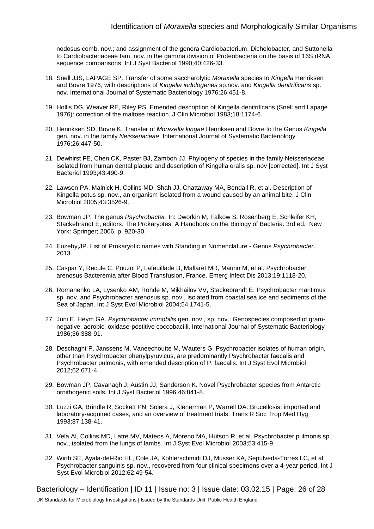nodosus comb. nov.; and assignment of the genera Cardiobacterium, Dichelobacter, and Suttonella to Cardiobacteriaceae fam. nov. in the gamma division of Proteobacteria on the basis of 16S rRNA sequence comparisons. Int J Syst Bacteriol 1990;40:426-33.

- 18. Snell JJS, LAPAGE SP. Transfer of some saccharolytic *Moraxella* species to *Kingella* Henriksen and Bovre 1976, with descriptions of *Kingella indologenes* sp.nov. and *Kingella denitrificans* sp. nov. International Journal of Systematic Bacteriology 1976;26:451-8.
- 19. Hollis DG, Weaver RE, Riley PS. Emended description of Kingella denitrificans (Snell and Lapage 1976): correction of the maltose reaction. J Clin Microbiol 1983;18:1174-6.
- 20. Henriksen SD, Bovre K. Transfer of *Moraxella kingae* Henriksen and Bovre to the Genus *Kingella* gen. nov. in the family *Neisseriaceae*. International Journal of Systematic Bacteriology 1976;26:447-50.
- 21. Dewhirst FE, Chen CK, Paster BJ, Zambon JJ. Phylogeny of species in the family Neisseriaceae isolated from human dental plaque and description of Kingella oralis sp. nov [corrected]. Int J Syst Bacteriol 1993;43:490-9.
- 22. Lawson PA, Malnick H, Collins MD, Shah JJ, Chattaway MA, Bendall R, et al. Description of Kingella potus sp. nov., an organism isolated from a wound caused by an animal bite. J Clin Microbiol 2005;43:3526-9.
- 23. Bowman JP. The genus *Psychrobacter*. In: Dworkin M, Falkow S, Rosenberg E, Schleifer KH, Stackebrandt E, editors. The Prokaryotes: A Handbook on the Biology of Bacteria. 3rd ed. New York: Springer; 2006. p. 920-30.
- 24. Euzeby,JP. List of Prokaryotic names with Standing in Nomenclature Genus *Psychrobacter*. 2013.
- 25. Caspar Y, Recule C, Pouzol P, Lafeuillade B, Mallaret MR, Maurin M, et al. Psychrobacter arenosus Bacteremia after Blood Transfusion, France. Emerg Infect Dis 2013;19:1118-20.
- 26. Romanenko LA, Lysenko AM, Rohde M, Mikhailov VV, Stackebrandt E. Psychrobacter maritimus sp. nov. and Psychrobacter arenosus sp. nov., isolated from coastal sea ice and sediments of the Sea of Japan. Int J Syst Evol Microbiol 2004;54:1741-5.
- 27. Juni E, Heym GA. *Psychrobacter immobilis* gen. nov., sp. nov.: Genospecies composed of gramnegative, aerobic, oxidase-postitive coccobacilli. International Journal of Systematic Bacteriology 1986;36:388-91.
- 28. Deschaght P, Janssens M, Vaneechoutte M, Wauters G. Psychrobacter isolates of human origin, other than Psychrobacter phenylpyruvicus, are predominantly Psychrobacter faecalis and Psychrobacter pulmonis, with emended description of P. faecalis. Int J Syst Evol Microbiol 2012;62:671-4.
- 29. Bowman JP, Cavanagh J, Austin JJ, Sanderson K. Novel Psychrobacter species from Antarctic ornithogenic soils. Int J Syst Bacteriol 1996;46:841-8.
- 30. Luzzi GA, Brindle R, Sockett PN, Solera J, Klenerman P, Warrell DA. Brucellosis: imported and laboratory-acquired cases, and an overview of treatment trials. Trans R Soc Trop Med Hyg 1993;87:138-41.
- 31. Vela AI, Collins MD, Latre MV, Mateos A, Moreno MA, Hutson R, et al. Psychrobacter pulmonis sp. nov., isolated from the lungs of lambs. Int J Syst Evol Microbiol 2003;53:415-9.
- 32. Wirth SE, Ayala-del-Rio HL, Cole JA, Kohlerschmidt DJ, Musser KA, Sepulveda-Torres LC, et al. Psychrobacter sanguinis sp. nov., recovered from four clinical specimens over a 4-year period. Int J Syst Evol Microbiol 2012;62:49-54.

Bacteriology – Identification | ID 11 | Issue no: 3 | Issue date: 03.02.15 | Page: 26 of 28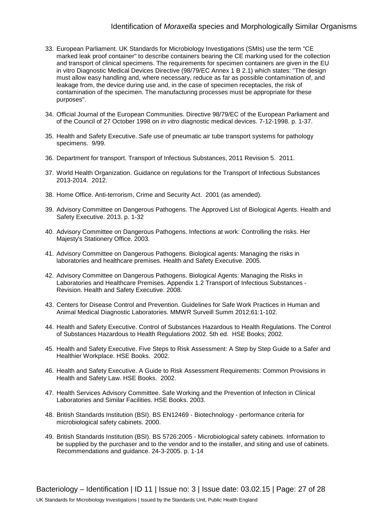#### Identification of *Moraxella* species and Morphologically Similar Organisms

- 33. European Parliament. UK Standards for Microbiology Investigations (SMIs) use the term "CE marked leak proof container" to describe containers bearing the CE marking used for the collection and transport of clinical specimens. The requirements for specimen containers are given in the EU in vitro Diagnostic Medical Devices Directive (98/79/EC Annex 1 B 2.1) which states: "The design must allow easy handling and, where necessary, reduce as far as possible contamination of, and leakage from, the device during use and, in the case of specimen receptacles, the risk of contamination of the specimen. The manufacturing processes must be appropriate for these purposes".
- 34. Official Journal of the European Communities. Directive 98/79/EC of the European Parliament and of the Council of 27 October 1998 on *in vitro* diagnostic medical devices. 7-12-1998. p. 1-37.
- 35. Health and Safety Executive. Safe use of pneumatic air tube transport systems for pathology specimens. 9/99.
- 36. Department for transport. Transport of Infectious Substances, 2011 Revision 5. 2011.
- 37. World Health Organization. Guidance on regulations for the Transport of Infectious Substances 2013-2014. 2012.
- 38. Home Office. Anti-terrorism, Crime and Security Act. 2001 (as amended).
- 39. Advisory Committee on Dangerous Pathogens. The Approved List of Biological Agents. Health and Safety Executive. 2013. p. 1-32
- 40. Advisory Committee on Dangerous Pathogens. Infections at work: Controlling the risks. Her Majesty's Stationery Office. 2003.
- 41. Advisory Committee on Dangerous Pathogens. Biological agents: Managing the risks in laboratories and healthcare premises. Health and Safety Executive. 2005.
- 42. Advisory Committee on Dangerous Pathogens. Biological Agents: Managing the Risks in Laboratories and Healthcare Premises. Appendix 1.2 Transport of Infectious Substances - Revision. Health and Safety Executive. 2008.
- 43. Centers for Disease Control and Prevention. Guidelines for Safe Work Practices in Human and Animal Medical Diagnostic Laboratories. MMWR Surveill Summ 2012;61:1-102.
- 44. Health and Safety Executive. Control of Substances Hazardous to Health Regulations. The Control of Substances Hazardous to Health Regulations 2002. 5th ed. HSE Books; 2002.
- 45. Health and Safety Executive. Five Steps to Risk Assessment: A Step by Step Guide to a Safer and Healthier Workplace. HSE Books. 2002.
- 46. Health and Safety Executive. A Guide to Risk Assessment Requirements: Common Provisions in Health and Safety Law. HSE Books. 2002.
- 47. Health Services Advisory Committee. Safe Working and the Prevention of Infection in Clinical Laboratories and Similar Facilities. HSE Books. 2003.
- 48. British Standards Institution (BSI). BS EN12469 Biotechnology performance criteria for microbiological safety cabinets. 2000.
- 49. British Standards Institution (BSI). BS 5726:2005 Microbiological safety cabinets. Information to be supplied by the purchaser and to the vendor and to the installer, and siting and use of cabinets. Recommendations and guidance. 24-3-2005. p. 1-14